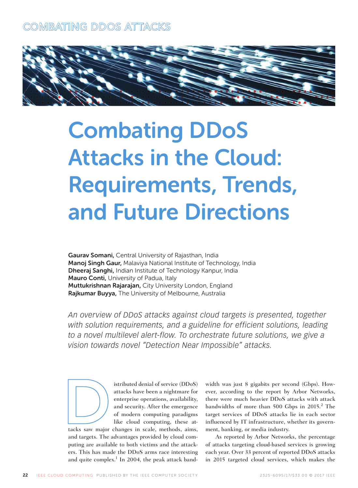

# Combating DDoS Attacks in the Cloud: Requirements, Trends, and Future Directions

Gaurav Somani, Central University of Rajasthan, India Manoj Singh Gaur, Malaviya National Institute of Technology, India Dheeraj Sanghi, Indian Institute of Technology Kanpur, India Mauro Conti, University of Padua, Italy Muttukrishnan Rajarajan, City University London, England Rajkumar Buyya, The University of Melbourne, Australia

*An overview of DDoS attacks against cloud targets is presented, together with solution requirements, and a guideline for efficient solutions, leading*  to a novel multilevel alert-flow. To orchestrate future solutions, we give a *vision towards novel "Detection Near Impossible" attacks.*



istributed denial of service (DDoS) attacks have been a nightmare for enterprise operations, availability, and security. After the emergence of modern computing paradigms like cloud computing, these at-

tacks saw major changes in scale, methods, aims, and targets. The advantages provided by cloud computing are available to both victims and the attackers. This has made the DDoS arms race interesting and quite complex.<sup>1</sup> In 2004, the peak attack bandwidth was just 8 gigabits per second (Gbps). However, according to the report by Arbor Networks, there were much heavier DDoS attacks with attack bandwidths of more than 500 Gbps in 2015.<sup>2</sup> The target services of DDoS attacks lie in each sector influenced by IT infrastructure, whether its government, banking, or media industry.

As reported by Arbor Networks, the percentage of attacks targeting cloud-based services is growing each year. Over 33 percent of reported DDoS attacks in 2015 targeted cloud services, which makes the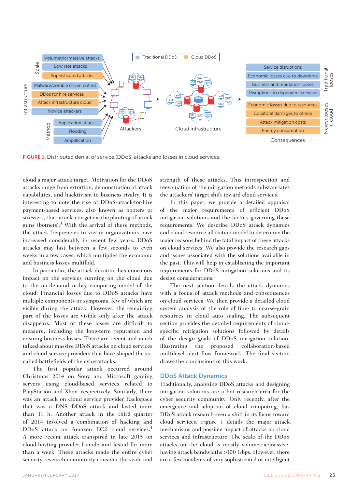

FIGURE 1. Distributed denial of service (DDoS) attacks and losses in cloud services.

cloud a major attack target. Motivation for the DDoS attacks range from extortion, demonstration of attack capabilities, and hacktivism to business rivalry. It is interesting to note the rise of DDoS-attack-for-hire payment-based services, also known as booters or stressers, that attack a target via the planting of attack guns (botnets).3 With the arrival of these methods, the attack frequencies to victim organizations have increased considerably in recent few years. DDoS attacks may last between a few seconds to even weeks in a few cases, which multiplies the economic and business losses multifold.

In particular, the attack duration has enormous impact on the services running on the cloud due to the on-demand utility computing model of the cloud. Financial losses due to DDoS attacks have multiple components or symptoms, few of which are visible during the attack. However, the remaining part of the losses are visible only after the attack disappears. Most of these losses are difficult to measure, including the long-term reputation and ensuing business losses. There are recent and much talked about massive DDoS attacks on cloud services and cloud service providers that have shaped the socalled battlefields of the cyberattacks.

The first popular attack occurred around Christmas 2014 on Sony and Microsoft gaming servers using cloud-based services related to PlayStation and Xbox, respectively. Similarly, there was an attack on cloud service provider Rackspace that was a DNS DDoS attack and lasted more than 11 h. Another attack in the third quarter of 2014 involved a combination of hacking and DDoS attack on Amazon EC2 cloud services.<sup>4</sup> A more recent attack transpired in late 2015 on cloud-hosting provider Linode and lasted for more than a week. These attacks made the entire cyber security research community consider the scale and

strength of these attacks. This introspection and reevaluation of the mitigation methods substantiates the attackers' target shift toward cloud services.

In this paper, we provide a detailed appraisal of the major requirements of efficient DDoS mitigation solutions and the factors governing these requirements. We describe DDoS attack dynamics and cloud resource allocation model to determine the major reasons behind the fatal impact of these attacks on cloud services. We also provide the research gaps and issues associated with the solutions available in the past. This will help in establishing the important requirements for DDoS mitigation solutions and its design considerations.

The next section details the attack dynamics with a focus of attack methods and consequences on cloud services. We then provide a detailed cloud system analysis of the role of fine- to coarse-grain resources in cloud auto scaling. The subsequent section provides the detailed requirements of cloudspecific mitigation solutions followed by details of the design goals of DDoS mitigation solution, illustrating the proposed collaboration-based multilevel alert flow framework. The final section draws the conclusions of this work.

#### DDoS Attack Dynamics

Traditionally, analyzing DDoS attacks and designing mitigation solutions are a hot research area for the cyber security community. Only recently, after the emergence and adoption of cloud computing, has DDoS attack research seen a shift in its focus toward cloud services. Figure 1 details the major attack mechanisms and possible impact of attacks on cloud services and infrastructure. The scale of the DDoS attacks on the cloud is mostly volumetric/massive, having attack bandwidths >100 Gbps. However, there are a few incidents of very sophisticated or intelligent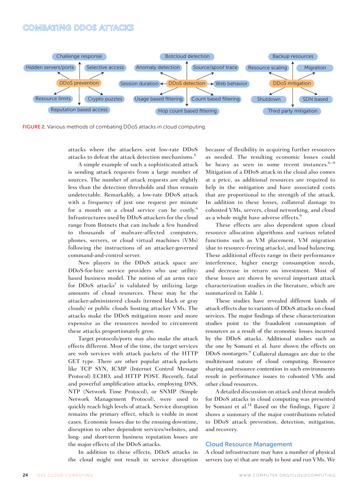

FIGURE 2. Various methods of combating DDoS attacks in cloud computing.

attacks where the attackers sent low-rate DDoS attacks to defeat the attack detection mechanisms.5

A simple example of such a sophisticated attack is sending attack requests from a large number of sources. The number of attack requests are slightly less than the detection thresholds and thus remain undetectable. Remarkably, a low-rate DDoS attack with a frequency of just one request per minute for a month on a cloud service can be costly.<sup>6</sup> Infrastructures used by DDoS attackers for the cloud range from Botnets that can include a few hundred to thousands of malware-affected computers, phones, servers, or cloud virtual machines (VMs) following the instructions of an attacker-governed command-and-control server.

New players in the DDoS attack space are DDoS-for-hire service providers who use utilitybased business model. The notion of an arms race for DDoS attacks<sup>1</sup> is validated by utilizing large amounts of cloud resources. These may be the attacker-administered clouds (termed black or gray clouds) or public clouds hosting attacker VMs. The attacks make the DDoS mitigation more and more expensive as the resources needed to circumvent these attacks proportionately grow.

Target protocols/ports may also make the attack effects different. Most of the time, the target services are web services with attack packets of the HTTP GET type. There are other popular attack packets like TCP SYN, ICMP (Internet Control Message Protocol) ECHO, and HTTP POST. Recently, fatal and powerful amplification attacks, employing DNS, NTP (Network Time Protocol), or SNMP (Simple Network Management Protocol), were used to quickly reach high levels of attack. Service disruption remains the primary effect, which is visible in most cases. Economic losses due to the ensuing downtime, disruption to other dependent services/websites, and long- and short-term business reputation losses are the major effects of the DDoS attacks.

In addition to these effects, DDoS attacks in the cloud might not result in service disruption because of flexibility in acquiring further resources as needed. The resulting economic losses could be heavy as seen in some recent instances. $6-8$ Mitigation of a DDoS attack in the cloud also comes at a price, as additional resources are required to help in the mitigation and have associated costs that are proportional to the strength of the attack. In addition to these losses, collateral damage to cohosted VMs, servers, cloud networking, and cloud as a whole might have adverse effects.<sup>9</sup>

These effects are also dependent upon cloud resource allocation algorithms and various related functions such as VM placement, VM migration (due to resource-freeing attacks), and load balancing. These additional effects range in their performance interference, higher energy consumption needs, and decrease in return on investment. Most of these losses are shown by several important attack characterization studies in the literature, which are summarized in Table 1.

These studies have revealed different kinds of attack effects due to variants of DDoS attacks on cloud services. The major findings of these characterization studies point to the fraudulent consumption of resources as a result of the economic losses incurred by the DDoS attacks. Additional studies such as the one by Somani et al. have shown the effects on DDoS nontargets.<sup>9</sup> Collateral damages are due to the multitenant nature of cloud computing. Resource sharing and resource contention in such environments result in performance issues to cohosted VMs and other cloud resources.

A detailed discussion on attack and threat models for DDoS attacks in cloud computing was presented by Somani et al.<sup>14</sup> Based on the findings, Figure 2 shows a summary of the major contributions related to DDoS attack prevention, detection, mitigation, and recovery.

#### Cloud Resource Management

A cloud infrastructure may have a number of physical servers (say *n*) that are ready to host and run VMs. We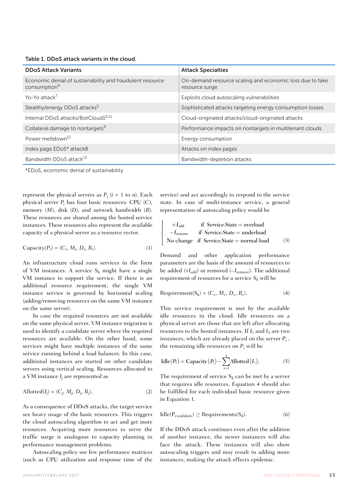| Table 1. DDoS attack variants in the cloud. |  |  |  |  |  |  |
|---------------------------------------------|--|--|--|--|--|--|
|---------------------------------------------|--|--|--|--|--|--|

| <b>DDoS Attack Variants</b>                                                           | <b>Attack Specialties</b>                                                  |  |  |  |
|---------------------------------------------------------------------------------------|----------------------------------------------------------------------------|--|--|--|
| Economic denial of sustainability and fraudulent resource<br>consumption <sup>6</sup> | On-demand resource scaling and economic loss due to fake<br>resource surge |  |  |  |
| Yo-Yo attack <sup>7</sup>                                                             | Exploits cloud autoscaling vulnerabilities                                 |  |  |  |
| Stealthy/energy DDoS attacks <sup>5</sup>                                             | Sophisticated attacks targeting energy consumption losses                  |  |  |  |
| Internal DDoS attacks/BotCloud10,11                                                   | Cloud-originated attacks/cloud-originated attacks                          |  |  |  |
| Collateral damage to nontargets <sup>9</sup>                                          | Performance impacts on nontargets in multitenant clouds                    |  |  |  |
| Power meltdown <sup>12</sup>                                                          | Energy consumption                                                         |  |  |  |
| Index page EDoS* attack8                                                              | Attacks on index pages                                                     |  |  |  |
| Bandwidth DDoS attack <sup>13</sup>                                                   | Bandwidth-depletion attacks                                                |  |  |  |

\*EDoS, economic denial of sustainability

represent the physical servers as  $P_i$  ( $i = 1$  to  $n$ ). Each physical server *Pi* has four basic resources: CPU (*C*), memory (*M*), disk (*D*), and network bandwidth (*B*). These resources are shared among the hosted service instances. These resources also represent the available capacity of a physical server as a resource vector.

$$
Capacity(P_i) = (C_i, M_i, D_i, B_i). \tag{1}
$$

An infrastructure cloud runs services in the form of VM instances. A service  $S_k$  might have a single VM instance to support the service. If there is an additional resource requirement, the single VM instance service is governed by horizontal scaling (adding/removing resources on the same VM instance on the same server).

In case the required resources are not available on the same physical server, VM instance migration is used to identify a candidate server where the required resources are available. On the other hand, some services might have multiple instances of the same service running behind a load balancer. In this case, additional instances are started on other candidate servers using vertical scaling. Resources allocated to a VM instance *Ij* are represented as

$$
Allotted(I_j) = (C_j, M_j, D_j, B_j).
$$
\n(2)

As a consequence of DDoS attacks, the target service see heavy usage of the basic resources. This triggers the cloud autoscaling algorithm to act and get more resources. Acquiring more resources to serve the traffic surge is analogous to capacity planning in performance management problems.

Autoscaling policy see few performance matrices (such as CPU utilization and response time of the

service) and act accordingly to respond to the service state. In case of multi-instance service, a general representation of autoscaling policy would be

$$
\begin{cases}\n+I_{\text{add}} & \text{if Service}.\text{State} = \text{overload} \\
-I_{\text{remove}} & \text{if Service}.\text{State} = \text{underload} \\
\text{No change if Service}.\text{State} = \text{normal load} \tag{3}\n\end{cases}
$$

Demand and other application performance parameters are the basis of the amount of resources to be added (+*I*<sub>add</sub>) or removed (-*I*<sub>remove</sub>). The additional requirement of resources for a service  $S_k$  will be

$$
Required(S_k) = (C_r, M_r, D_r, B_r).
$$
\n(4)

This service requirement is met by the available idle resources in the cloud. Idle resources on a physical server are those that are left after allocating resources to the hosted instances. If  $I_1$  and  $I_2$  are two instances, which are already placed on the server *Pi* , the remaining idle resources on *Pi* will be

$$
I = \text{Capacity}(P_i) - \sum_{s=1}^{2} \text{Allotted}(I_s). \tag{5}
$$

The requirement of service  $S_k$  can be met by a server that requires idle resources. Equation 4 should also be fulfilled for each individual basic resource given in Equation 1.

$$
Idle(P_{candidate}) \geq Requirements(S_k). \tag{6}
$$

If the DDoS attack continues even after the addition of another instance, the newer instances will also face the attack. These instances will also show autoscaling triggers and may result in adding more instances, making the attack effects epidemic.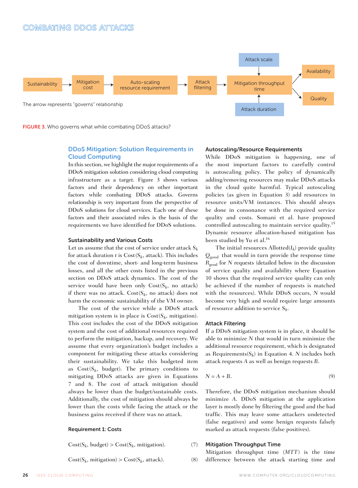

FIGURE 3. Who governs what while combating DDoS attacks?

#### DDoS Mitigation: Solution Requirements in Cloud Computing

In this section, we highlight the major requirements of a DDoS mitigation solution considering cloud computing infrastructure as a target. Figure 3 shows various factors and their dependency on other important factors while combating DDoS attacks. Governs relationship is very important from the perspective of DDoS solutions for cloud services. Each one of these factors and their associated roles is the basis of the requirements we have identified for DDoS solutions.

#### Sustainability and Various Costs

Let us assume that the cost of service under attack  $S_k$ for attack duration  $t$  is  $Cost(S_k, attack)$ . This includes the cost of downtime, short- and long-term business losses, and all the other costs listed in the previous section on DDoS attack dynamics. The cost of the service would have been only  $Cost(S_k, no attack)$ if there was no attack.  $Cost(S_k, no \text{ attack})$  does not harm the economic sustainability of the VM owner.

The cost of the service while a DDoS attack mitigation system is in place is  $Cost(S_k, mitigation)$ . This cost includes the cost of the DDoS mitigation system and the cost of additional resources required to perform the mitigation, backup, and recovery. We assume that every organization's budget includes a component for mitigating these attacks considering their sustainability. We take this budgeted item as  $Cost(S_k, budget)$ . The primary conditions to mitigating DDoS attacks are given in Equations 7 and 8. The cost of attack mitigation should always be lower than the budget/sustainable costs. Additionally, the cost of mitigation should always be lower than the costs while facing the attack or the business gains received if there was no attack.

#### Requirement 1: Costs

 $Cost(S_k, budget) > Cost(S_k, mitigation).$  (7)

 $Cost(S_k, mitigation) > Cost(S_k, attack).$  (8)

#### Autoscaling/Resource Requirements

While DDoS mitigation is happening, one of the most important factors to carefully control is autoscaling policy. The policy of dynamically adding/removing resources may make DDoS attacks in the cloud quite harmful. Typical autoscaling policies (as given in Equation 3) add resources in resource units/VM instances. This should always be done in consonance with the required service quality and costs. Somani et al. have proposed controlled autoscaling to maintain service quality.<sup>15</sup> Dynamic resource allocation-based mitigation has been studied by Yu et al.<sup>16</sup>

The initial resources Allotted(*Ik*) provide quality  $Q_{\text{good}}$  that would in turn provide the response time *R*good for *N* requests (detailed below in the discussion of service quality and availability where Equation 10 shows that the required service quality can only be achieved if the number of requests is matched with the resources). While DDoS occurs, *N* would become very high and would require large amounts of resource addition to service *Sk*.

#### Attack Filtering

If a DDoS mitigation system is in place, it should be able to minimize *N* that would in turn minimize the additional resource requirement, which is designated as Requirements( $S_k$ ) in Equation 4. *N* includes both attack requests *A* as well as benign requests *B*.

$$
N = A + B. \tag{9}
$$

Therefore, the DDoS mitigation mechanism should minimize *A*. DDoS mitigation at the application layer is mostly done by filtering the good and the bad traffic. This may leave some attackers undetected (false negatives) and some benign requests falsely marked as attack requests (false positives).

#### Mitigation Throughput Time

Mitigation throughput time (*MTT*) is the time difference between the attack starting time and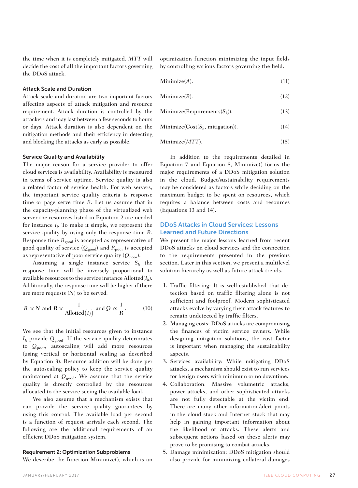the time when it is completely mitigated. *MTT* will decide the cost of all the important factors governing the DDoS attack.

#### Attack Scale and Duration

Attack scale and duration are two important factors affecting aspects of attack mitigation and resource requirement. Attack duration is controlled by the attackers and may last between a few seconds to hours or days. Attack duration is also dependent on the mitigation methods and their efficiency in detecting and blocking the attacks as early as possible.

#### Service Quality and Availability

The major reason for a service provider to offer cloud services is availability. Availability is measured in terms of service uptime. Service quality is also a related factor of service health. For web servers, the important service quality criteria is response time or page serve time *R*. Let us assume that in the capacity-planning phase of the virtualized web server the resources listed in Equation 2 are needed for instance  $I_i$ . To make it simple, we represent the service quality by using only the response time *R*. Response time  $R_{good}$  is accepted as representative of good quality of service  $(Q_{good})$  and  $R_{poor}$  is accepted as representative of poor service quality  $(Q_{\text{poor}})$ .

Assuming a single instance service  $S_k$  the response time will be inversely proportional to available resources to the service instance  $\text{Allotted}(I_k)$ . Additionally, the response time will be higher if there are more requests (*N*) to be served.

$$
R \propto N
$$
 and  $R \propto \frac{1}{\text{Allotted}(I_j)}$  and  $Q \propto \frac{1}{R}$ . (10)

We see that the initial resources given to instance  $I_k$  provide  $Q_{good}$ . If the service quality deteriorates to *Q*poor, autoscaling will add more resources (using vertical or horizontal scaling as described by Equation 3). Resource addition will be done per the autoscaling policy to keep the service quality maintained at *Q*good. We assume that the service quality is directly controlled by the resources allocated to the service seeing the available load.

We also assume that a mechanism exists that can provide the service quality guarantees by using this control. The available load per second is a function of request arrivals each second. The following are the additional requirements of an efficient DDoS mitigation system.

#### Requirement 2: Optimization Subproblems

We describe the function Minimize(), which is an

optimization function minimizing the input fields by controlling various factors governing the field.

$$
Minimize(A). \t(11)
$$

 $Minimize(R)$ . (12)

$$
Minimize (Required value function for the function  $(S_k)$ ).
$$
 (13)

Minimize( $Cost(S_k, mitigation)$ ). (14)

$$
Minimize (MTT). \t(15)
$$

In addition to the requirements detailed in Equation 7 and Equation 8, Minimize() forms the major requirements of a DDoS mitigation solution in the cloud. Budget/sustainability requirements may be considered as factors while deciding on the maximum budget to be spent on resources, which requires a balance between costs and resources (Equations 13 and 14).

#### DDoS Attacks in Cloud Services: Lessons Learned and Future Directions

We present the major lessons learned from recent DDoS attacks on cloud services and the connection to the requirements presented in the previous section. Later in this section, we present a multilevel solution hierarchy as well as future attack trends.

- 1. Traffic filtering: It is well-established that detection based on traffic filtering alone is not sufficient and foolproof. Modern sophisticated attacks evolve by varying their attack features to remain undetected by traffic filters.
- 2. Managing costs: DDoS attacks are compromising the finances of victim service owners. While designing mitigation solutions, the cost factor is important when managing the sustainability aspects.
- 3. Services availability: While mitigating DDoS attacks, a mechanism should exist to run services for benign users with minimum or no downtime.
- 4. Collaboration: Massive volumetric attacks, power attacks, and other sophisticated attacks are not fully detectable at the victim end. There are many other information/alert points in the cloud stack and Internet stack that may help in gaining important information about the likelihood of attacks. These alerts and subsequent actions based on these alerts may prove to be promising to combat attacks.
- 5. Damage minimization: DDoS mitigation should also provide for minimizing collateral damages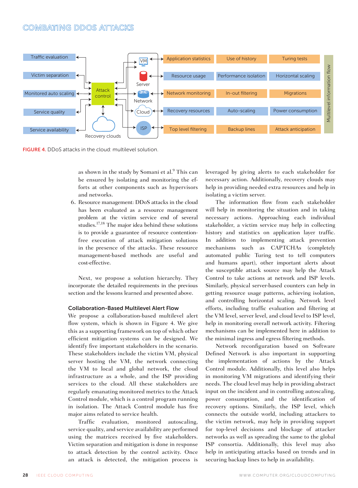

FIGURE 4. DDoS attacks in the cloud: multilevel solution.

as shown in the study by Somani et al.<sup>9</sup> This can be ensured by isolating and monitoring the efforts at other components such as hypervisors and networks.

6. Resource management: DDoS attacks in the cloud has been evaluated as a resource management problem at the victim service end of several studies.17,18 The major idea behind these solutions is to provide a guarantee of resource contentionfree execution of attack mitigation solutions in the presence of the attacks. These resource management-based methods are useful and cost-effective.

Next, we propose a solution hierarchy. They incorporate the detailed requirements in the previous section and the lessons learned and presented above.

#### Collaboration-Based Multilevel Alert Flow

We propose a collaboration-based multilevel alert flow system, which is shown in Figure 4. We give this as a supporting framework on top of which other efficient mitigation systems can be designed. We identify five important stakeholders in the scenario. These stakeholders include the victim VM, physical server hosting the VM, the network connecting the VM to local and global network, the cloud infrastructure as a whole, and the ISP providing services to the cloud. All these stakeholders are regularly emanating monitored metrics to the Attack Control module, which is a control program running in isolation. The Attack Control module has five major aims related to service health.

Traffic evaluation, monitored autoscaling, service quality, and service availability are performed using the matrices received by five stakeholders. Victim separation and mitigation is done in response to attack detection by the control activity. Once an attack is detected, the mitigation process is leveraged by giving alerts to each stakeholder for necessary action. Additionally, recovery clouds may help in providing needed extra resources and help in isolating a victim server.

The information flow from each stakeholder will help in monitoring the situation and in taking necessary actions. Approaching each individual stakeholder, a victim service may help in collecting history and statistics on application layer traffic. In addition to implementing attack prevention mechanisms such as CAPTCHAs (completely automated public Turing test to tell computers and humans apart), other important alerts about the susceptible attack source may help the Attack Control to take actions at network and ISP levels. Similarly, physical server-based counters can help in getting resource usage patterns, achieving isolation, and controlling horizontal scaling. Network level efforts, including traffic evaluation and filtering at the VM level, server level, and cloud level to ISP level, help in monitoring overall network activity. Filtering mechanisms can be implemented here in addition to the minimal ingress and egress filtering methods.

Network reconfiguration based on Software Defined Network is also important in supporting the implementation of actions by the Attack Control module. Additionally, this level also helps in monitoring VM migrations and identifying their needs. The cloud level may help in providing abstract input on the incident and in controlling autoscaling, power consumption, and the identification of recovery options. Similarly, the ISP level, which connects the outside world, including attackers to the victim network, may help in providing support for top-level decisions and blockage of attacker networks as well as spreading the same to the global ISP consortia. Additionally, this level may also help in anticipating attacks based on trends and in securing backup lines to help in availability.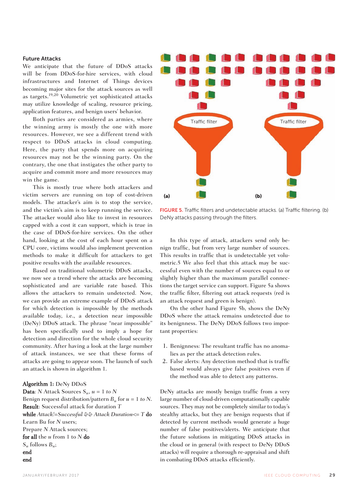#### Future Attacks

We anticipate that the future of DDoS attacks will be from DDoS-for-hire services, with cloud infrastructures and Internet of Things devices becoming major sites for the attack sources as well as targets.19,20 Volumetric yet sophisticated attacks may utilize knowledge of scaling, resource pricing, application features, and benign users' behavior.

Both parties are considered as armies, where the winning army is mostly the one with more resources. However, we see a different trend with respect to DDoS attacks in cloud computing. Here, the party that spends more on acquiring resources may not be the winning party. On the contrary, the one that instigates the other party to acquire and commit more and more resources may win the game.

This is mostly true where both attackers and victim servers are running on top of cost-driven models. The attacker's aim is to stop the service, and the victim's aim is to keep running the service. The attacker would also like to invest in resources capped with a cost it can support, which is true in the case of DDoS-for-hire services. On the other hand, looking at the cost of each hour spent on a CPU core, victims would also implement prevention methods to make it difficult for attackers to get positive results with the available resources.

Based on traditional volumetric DDoS attacks, we now see a trend where the attacks are becoming sophisticated and are variable rate based. This allows the attackers to remain undetected. Now, we can provide an extreme example of DDoS attack for which detection is impossible by the methods available today, i.e., a detection near impossible (DeNy) DDoS attack. The phrase "near impossible" has been specifically used to imply a hope for detection and direction for the whole cloud security community. After having a look at the large number of attack instances, we see that these forms of attacks are going to appear soon. The launch of such an attack is shown in algorithm 1.

#### Algorithm 1: DeNy DDoS

**Data**: *N* Attack Sources  $S_u$ ,  $u = 1$  to N Benign request distribution/pattern  $B_u$  for  $u = 1$  to N. Result: Successful attack for duration *T* while *Attack!=Successful && Attack Duration*<= *T* do Learn Bu for *N* users; Prepare *N* Attack sources; for all the *u* from 1 to *N* do *Su* follows *Bu*; end end



FIGURE 5. Traffic filters and undetectable attacks. (a) Traffic filtering. (b) DeNy attacks passing through the filters.

In this type of attack, attackers send only benign traffic, but from very large number of sources. This results in traffic that is undetectable yet volumetric.5 We also feel that this attack may be successful even with the number of sources equal to or slightly higher than the maximum parallel connections the target service can support. Figure 5a shows the traffic filter, filtering out attack requests (red is an attack request and green is benign).

On the other hand Figure 5b, shows the DeNy DDoS where the attack remains undetected due to its benignness. The DeNy DDoS follows two important properties:

- 1. Benignness: The resultant traffic has no anomalies as per the attack detection rules.
- 2. False alerts: Any detection method that is traffic based would always give false positives even if the method was able to detect any patterns.

DeNy attacks are mostly benign traffic from a very large number of cloud-driven computationally capable sources. They may not be completely similar to today's stealthy attacks, but they are benign requests that if detected by current methods would generate a huge number of false positives/alerts. We anticipate that the future solutions in mitigating DDoS attacks in the cloud or in general (with respect to DeNy DDoS attacks) will require a thorough re-appraisal and shift in combating DDoS attacks efficiently.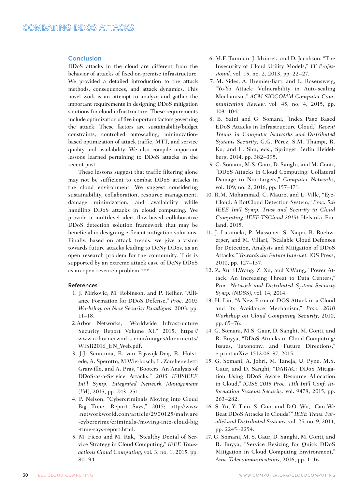#### Conclusion

DDoS attacks in the cloud are different from the behavior of attacks of fixed on-premise infrastructure. We provided a detailed introduction to the attack methods, consequences, and attack dynamics. This novel work is an attempt to analyze and gather the important requirements in designing DDoS mitigation solutions for cloud infrastructure. These requirements include optimization of five important factors governing the attack. These factors are sustainability/budget constraints, controlled autoscaling, minimizationbased optimization of attack traffic, MTT, and service quality and availability. We also compile important lessons learned pertaining to DDoS attacks in the recent past.

These lessons suggest that traffic filtering alone may not be sufficient to combat DDoS attacks in the cloud environment. We suggest considering sustainability, collaboration, resource management, damage minimization, and availability while handling DDoS attacks in cloud computing. We provide a multilevel alert flow-based collaborative DDoS detection solution framework that may be beneficial in designing efficient mitigation solutions. Finally, based on attack trends, we give a vision towards future attacks leading to DeNy DDos, as an open research problem for the community. This is supported by an extreme attack case of DeNy DDoS as an open research problem.

#### References

- 1. J. Mirkovic, M. Robinson, and P. Reiher, "Alliance Formation for DDoS Defense," *Proc. 2003 Workshop on New Security Paradigms*, 2003, pp. 11–18.
- 2.Arbor Networks, "Worldwide Infrastructure Security Report Volume XI," 2015; https:// www.arbornetworks.com/images/documents/ WISR2016\_EN\_Web.pdf.
- 3. J.J. Santanna, R. van Rijswijk-Deij, R. Hofstede, A. Sperotto, M.Wierbosch, L. Zambenedetti Granville, and A. Pras, "Booters: An Analysis of DDoS-as-a-Service Attacks," *2015 IFIP/IEEE Int'l Symp. Integrated Network Management*  (*IM*), 2015, pp. 243–251.
- 4. P. Nelson, "Cybercriminals Moving into Cloud Big Time, Report Says," 2015; http://www .networkworld.com/article/2900125/malware -cybercrime/criminals-/moving-into-cloud-big -time-says-report.html.
- 5. M. Ficco and M. Rak, "Stealthy Denial of Service Strategy in Cloud Computing," *IEEE Transactions Cloud Computing*, vol. 3, no. 1, 2015, pp. 80–94.
- 6. M.F. Tannian, J. Idziorek, and D. Jacobson, "The Insecurity of Cloud Utility Models," *IT Professional*, vol. 15, no. 2, 2013, pp. 22–27.
- 7. M. Sides, A. Bremler-Barr, and E. Rosensweig, "Yo-Yo Attack: Vulnerability in Auto-scaling Mechanism," *ACM SIGCOMM Computer Communication Review*, vol. 45, no. 4, 2015, pp. 103–104.
- 8. B. Saini and G. Somani, "Index Page Based EDoS Attacks in Infrastructure Cloud," *Recent Trends in Computer Networks and Distributed Systems Security*, G.G. Pérez, S.M. Thampi, R. Ko, and L. Shu, eds., Springer Berlin Heidelberg, 2014, pp. 382–395.
- 9. G. Somani, M.S. Gaur, D. Sanghi, and M. Conti, "DDoS Attacks in Cloud Computing: Collateral Damage to Non-targets," *Computer Networks*, vol. 109, no. 2, 2016, pp. 157–171.
- 10. R.M. Mohammad, C. Mauro, and L. Ville, "Eye-Cloud: A BotCloud Detection System," *Proc. 5th IEEE Int'l Symp. Trust and Security in Cloud Computing (IEEE TSCloud 2015)*, Helsinki, Finland, 2015.
- 11. J. Latanicki, P. Massonet, S. Naqvi, B. Rochwerger, and M. Villari, "Scalable Cloud Defenses for Detection, Analysis and Mitigation of DDoS Attacks," *Towards the Future Internet*, IOS Press, 2010, pp. 127–137.
- 12. Z. Xu, H.Wang, Z. Xu, and X.Wang, "Power Attack: An Increasing Threat to Data Centers," *Proc. Network and Distributed System Security Symp. (NDSS)*, vol. 14, 2014.
- 13. H. Liu, "A New Form of DOS Attack in a Cloud and Its Avoidance Mechanism," *Proc. 2010 Workshop on Cloud Computing Security*, 2010, pp. 65–76.
- 14. G. Somani, M.S. Gaur, D. Sanghi, M. Conti, and R. Buyya, "DDoS Attacks in Cloud Computing: Issues, Taxonomy, and Future Directions," e-print arXiv: 1512.08187, 2015.
- 15. G. Somani, A. Johri, M. Taneja, U. Pyne, M.S. Gaur, and D. Sanghi, "DARAC: DDoS Mitigation Using DDoS Aware Resource Allocation in Cloud," *ICISS 2015 Proc. 11th Int'l Conf. Information Systems Security*, vol. 9478, 2015, pp. 263–282.
- 16. S. Yu, Y. Tian, S. Guo, and D.O. Wu, "Can We Beat DDoS Attacks in Clouds?" *IEEE Trans. Parallel and Distributed Systems*, vol. 25, no. 9, 2014, pp. 2245–2254.
- 17. G. Somani, M. S. Gaur, D. Sanghi, M. Conti, and R. Buyya, "Service Resizing for Quick DDoS Mitigation in Cloud Computing Environment," *Ann. Telecommunications*, 2016, pp. 1–16.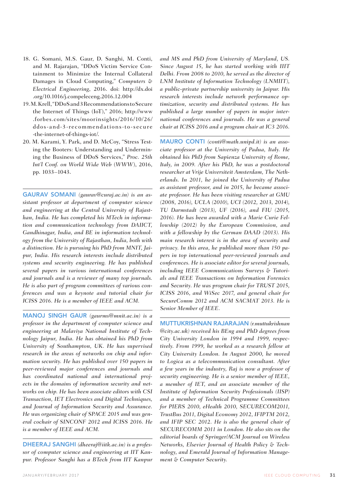- 18. G. Somani, M.S. Gaur, D. Sanghi, M. Conti, and M. Rajarajan, "DDoS Victim Service Containment to Minimize the Internal Collateral Damages in Cloud Computing," *Computers & Electrical Engineering*, 2016. doi: http://dx.doi .org/10.1016/j.compeleceng.2016.12.004
- 19. M. Krell, "DDoS and 3 Recommendations to Secure the Internet of Things (IoT)," 2016; http://www .forbes.com/sites/moorinsights/2016/10/26/ ddos-and-3-recommendations-to-secure -the-internet-of-things-iot/.
- 20. M. Karami, Y. Park, and D. McCoy, "Stress Testing the Booters: Understanding and Undermining the Business of DDoS Services," *Proc. 25th Int'l Conf. on World Wide Web* (*WWW*), 2016, pp. 1033–1043.

GAURAV SOMANI *(gaurav@curaj.ac.in) is an assistant professor at department of computer science and engineering at the Central University of Rajasthan, India. He has completed his MTech in information and communication technology from DAIICT, Gandhinagar, India, and BE in information technology from the University of Rajasthan, India, both with a distinction. He is pursuing his PhD from MNIT, Jaipur, India. His research interests include distributed systems and security engineering. He has published several papers in various international conferences and journals and is a reviewer of many top journals. He is also part of program committees of various conferences and was a keynote and tutorial chair for ICISS 2016. He is a member of IEEE and ACM.*

MANOJ SINGH GAUR *(gaurms@mnit.ac.in) is a professor in the department of computer science and engineering at Malaviya National Institute of Technology Jaipur, India. He has obtained his PhD from University of Southampton, UK. He has supervised research in the areas of networks on chip and information security. He has published over 150 papers in peer-reviewed major conferences and journals and has coordinated national and international projects in the domains of information security and networks on chip. He has been associate editors with CSI Transaction, IET Electronics and Digital Techniques, and Journal of Information Security and Assurance. He was organizing chair of SPACE 2015 and was general cochair of SINCONF 2012 and ICISS 2016. He is a member of IEEE and ACM.*

DHEERAJ SANGHI *(dheeraj@iitk.ac.in) is a professor of computer science and engineering at IIT Kanpur. Professor Sanghi has a BTech from IIT Kanpur*  *and MS and PhD from University of Maryland, US. Since August 15, he has started working with IIIT Delhi. From 2008 to 2010, he served as the director of LNM Institute of Information Technology (LNMIIT), a public-private partnership university in Jaipur. His research interests include network performance optimization, security and distributed systems. He has published a large number of papers in major international conferences and journals. He was a general chair at ICISS 2016 and a program chair at IC3 2016.*

MAURO CONTI *(conti@math.unipd.it) is an associate professor at the University of Padua, Italy. He obtained his PhD from Sapienza University of Rome, Italy, in 2009. After his PhD, he was a postdoctoral researcher at Vrije Universiteit Amsterdam, The Netherlands. In 2011, he joined the University of Padua as assistant professor, and in 2015, he became associate professor. He has been visiting researcher at GMU (2008, 2016), UCLA (2010), UCI (2012, 2013, 2014), TU Darmstadt (2013), UF (2016), and FIU (2015, 2016). He has been awarded with a Marie Curie Fellowship (2012) by the European Commission, and with a fellowship by the German DAAD (2013). His main research interest is in the area of security and privacy. In this area, he published more than 150 papers in top international peer-reviewed journals and conferences. He is associate editor for several journals, including IEEE Communications Surveys & Tutorials and IEEE Transactions on Information Forensics and Security. He was program chair for TRUST 2015, ICISS 2016, and WiSec 2017, and general chair for SecureComm 2012 and ACM SACMAT 2013. He is Senior Member of IEEE.*

MUTTUKRISHNAN RAJARAJAN *(r.muttukrishnan @city.ac.uk) received his BEng and PhD degrees from City University London in 1994 and 1999, respectively. From 1999, he worked as a research fellow at City University London. In August 2000, he moved to Logica as a telecommunication consultant. After a few years in the industry, Raj is now a professor of security engineering. He is a senior member of IEEE, a member of IET, and an associate member of the Institute of Information Security Professionals (IISP) and a member of Technical Programme Committees for PIERS 2010, eHealth 2010, SECURECOM2011, TrustBus 2011, Digital Economy 2012, IFIPTM 2012, and IFIP SEC 2012. He is also the general chair of SECURECOMM 2011 in London. He also sits on the editorial boards of Springer/ACM Journal on Wireless Networks, Elsevier Journal of Health Policy & Technology, and Emerald Journal of Information Management & Computer Security.*